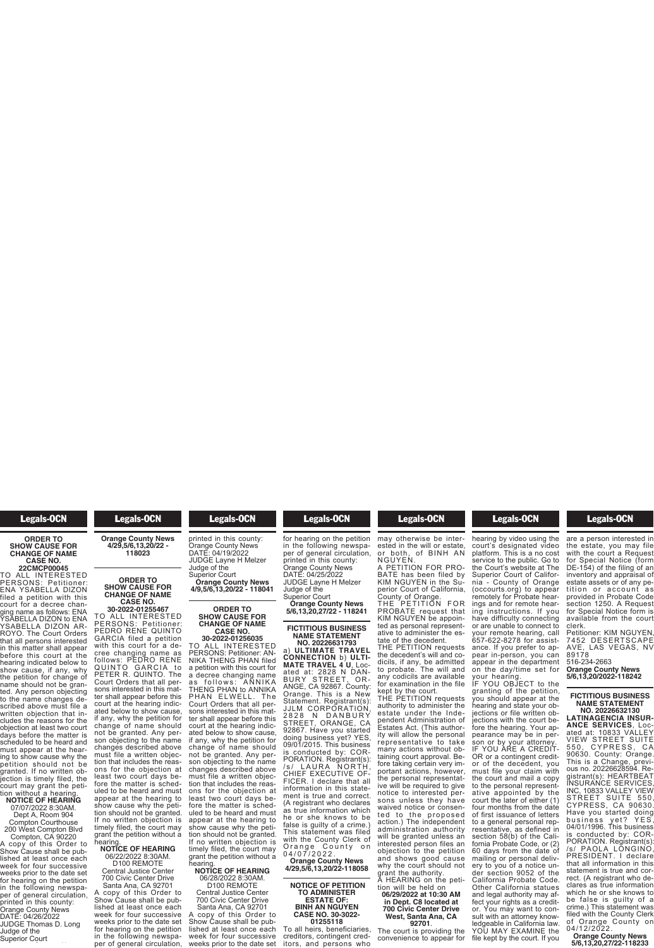# Legals-OCN

### **ORDER TO SHOW CAUSE FOR CHANGE OF NAME CASE NO.**

**22CMCP00045** TO ALL INTERESTED PERSONS: Petitioner: ENA YSABELLA DIZON filed a petition with this court for a decree changing name as follows: ENA YSABELLA DIZON to ENA YSABELLA DIZON AR-ROYO. The Court Orders that all persons interested in this matter shall appear before this court at the hearing indicated below to show cause, if any, why the petition for change of name should not be granted. Any person objecting to the name changes described above must file a<br>written objection that includes the reasons for the objection at least two court days before the matter is scheduled to be heard and must appear at the hearing to show cause why the petition should not be granted. If no written objection is timely filed, the court may grant the petition without a hearing. **NOTICE OF HEARING**

07/07/2022 8:30AM. Dept A, Room 904 Compton Courthouse 200 West Compton Blvd

Compton, CA 90220 A copy of this Order to Show Cause shall be published at least once each week for four successive weeks prior to the date set for hearing on the petition in the following newspaper of general circulation, printed in this county: Orange County News DATE: 04/26/2022 JUDGE Thomas D. Long Judge of the

Superior Court

#### Legals-OCN **J** Agals-OCN Judge of the

DATE: 04/26/2022

**Orange County News 4/29,5/6,13,20/22 - 118023**

### **ORDER TO SHOW CAUSE FOR CHANGE OF NAME CASE NO.**

**30-2022-01255467** TO ALL INTERESTED PERSONS: Petitioner: PEDRO RENE QUINTO GARCIA filed a petition with this court for a decree changing name as follows: PEDRO RENE QUINTO GARCIA to PETER R. QUINTO. The Court Orders that all persons interested in this matter shall appear before this court at the hearing indicated below to show cause, if any, why the petition for change of name should not be granted. Any person objecting to the name changes described above must file a written objection that includes the reasons for the objection at least two court days before the matter is scheduled to be heard and must appear at the hearing to show cause why the petition should not be granted. If no written objection is timely filed, the court may grant the petition without a hearing.

### **NOTICE OF HEARING** 06/22/2022 8:30AM. D100 REMOTE

Central Justice Center 700 Civic Center Drive Santa Ana, CA 92701 A copy of this Order to Show Cause shall be published at least once each week for four successive weeks prior to the date set

for hearing on the petition in the following newspa-per of general circulation,

### **Example 1 Legals-OCN** weeks prior to the date set  $\frac{1}{\sqrt{2}}$ per of general circulation,

### printed in this county: Orange County News DATE: 04/19/2022 JUDGE Layne H Melzer

Judge of the Superior Court **Orange County News 4/9,5/6,13,20/22 - 118041**

### **ORDER TO SHOW CAUSE FOR CHANGE OF NAME CASE NO.**

**30-2022-01256035** TO ALL INTERESTED PERSONS: Petitioner: AN-NIKA THENG PHAN filed a petition with this court for a decree changing name as follows: ANNIKA THENG PHAN to ANNIKA PHAN ELWELL. The Court Orders that all persons interested in this mat-<br>ter shall appear before this court at the hearing indicated below to show cause, if any, why the petition for change of name should not be granted. Any person objecting to the name changes described above must file a written objection that includes the reasons for the objection at least two court days before the matter is scheduled to be heard and must appear at the hearing to show cause why the petition should not be granted. If no written objection is timely filed, the court may grant the petition without a

hearing. **NOTICE OF HEARING** 06/28/2022 8:30AM. D100 REMOTE

Central Justice Center 700 Civic Center Drive Santa Ana, CA 92701 A copy of this Order to Show Cause shall be published at least once each

week for four successive weeks prior to the date set per of general circulation, printed in this county: Orange County News DATE: 04/25/2022 JUDGE Layne H Melzer Judge of the Superior Court **Orange County News 5/6,13,20,27/22 - 118241**

**Legals-OCN** Show Cause shall be pub- $\frac{1}{\sqrt{2}}$ 

## **FICTITIOUS BUSINESS NAME STATEMENT NO. 20226631793**

a) **ULTIMATE TRAVEL CONNECTION** b) **ULTI-MATE TRAVEL 4 U**, Located at: 2828 N DAN-BURY STREET, OR-ANGE, CA 92867. County: Orange. This is a New Statement. Registrant(s): JJLM CORPORATION, 2828 N DANBURY<br>STREET, ORANGE, CA 92867. Have you started doing business yet? YES, 09/01/2015. This business is conducted by: COR-PORATION. Registrant(s): /s/ LAURA NORTH, CHIEF EXECUTIVE OF-FICER. I declare that all information in this statement is true and correct. (A registrant who declares as true information which he or she knows to be false is guilty of a crime.) This statement was filed with the County Clerk of Orange County on 0 4 / 0 7 / 2 0 2 2 .

**Orange County News 4/29,5/6,13,20/22-118058**

# **NOTICE OF PETITION TO ADMINISTER ESTATE OF: BINH AN NGUYEN CASE NO. 30-3022-**

**01255118** To all heirs, beneficiaries, creditors, contingent cred- itors, and persons who

#### Legals-OCN **01255118** To all heirs, beneficiaries, beneficiaries, beneficiaries, beneficiaries, b<br>Totalismus de la contrata el proporciones, en la contrata el proporciones de la contrata el proporciones de la  $\epsilon$ creditors, contingent contingent contingent contingent contingent contingent continuous continuous continuous continuous continuous continuous continuous continuous continuous continuous continuous continuous continuo

itors, and persons who may otherwise be interested in the will or estate, or both, of BINH AN weeks prior to the date set for hearing on the petition in the following newspa-

NGUYEN. A PETITION FOR PRO-BATE has been filed by KIM NGUYEN in the Superior Court of California, County of Orange. THE PETITION FOR PROBATE request that KIM NGUYEN be appoin-

ted as personal representative to administer the estate of the decedent. THE PETITION requests the decedent's will and co-

dicils, if any, be admitted to probate. The will and any codicils are available for examination in the file kept by the court.

THE PETITION requests authority to administer the<br>estate under the Independent Administration of Estates Act. (This authority will allow the personal representative to take many actions without obtaining court approval. Before taking certain very important actions, however, the personal representative will be required to give notice to interested persons unless they have waived notice or consented to the proposed action.) The independent administration authority will be granted unless an interested person files an objection to the petition and shows good cause why the court should not grant the authority. A HEARING on the peti-

### tion will be held on **06/29/2022 at 10:30 AM in Dept. C8 located at 700 Civic Center Drive West, Santa Ana, CA 92701**.

The court is providing the convenience to appear for

### Legals-OCN **West, Santa Ana, CA**  $T_{\text{sc}}$  and  $T_{\text{sc}}$

convenience to appear for hearing by video using the court's designated video platform. This is a no cost service to the public. Go to the Court's website at The Superior Court of California - County of Orange (occourts.org) to appear remotely for Probate hearings and for remote hearing instructions. If you have difficulty connecting or are unable to connect to your remote hearing, call 657-622-8278 for assistance. If you prefer to appear in-person, you can appear in the department on the day/time set for

your hearing. IF YOU OBJECT to the granting of the petition, you should appear at the hearing and state your objections or file written ob-jections with the court before the hearing. Your appearance may be in person or by your attorney. IF YOU ARE A CREDIT-OR or a contingent creditor of the decedent, you must file your claim with the court and mail a copy to the personal representative appointed by the court the later of either (1) four months from the date of first issuance of letters to a general personal representative, as defined in section 58(b) of the California Probate Code, or (2) 60 days from the date of mailing or personal delivery to you of a notice under section 9052 of the California Probate Code. Other California statues and legal authority may affect your rights as a creditor. You may want to consult with an attorney knowledgeable in California law. YOU MAY EXAMINE the<br>file kept by the court. If you<br>

### **Legals-OCN** sult with an attorney know- $\blacksquare$

file kept by the court. If you are a person interested in the estate, you may file with the court a Request for Special Notice (form DE-154) of the filing of an inventory and appraisal of estate assets or of any petition or ac count a s provided in Probate Code section 1250. A Request for Special Notice form is available from the court clerk.

Petitioner: KIM NGUYEN, 7452 DESERTSCAPE AVE, LAS VEGAS, NV 89178 516-234-2663

**Orange County News 5/6,13,20/2022-118242**

# **FICTITIOUS BUSINESS NAME STATEMENT**

**NO. 20226632130 LATINAGENCIA INSUR-ANCE SERVICES**, Located at: 10833 VALLEY VIEW STREET SUITE 5 5 0 , C YP R ESS, C A 90630. County: Orange. This is a Change, previous no. 20226628594. Registrant(s): HEARTBEAT INSURANCE SERVICES, INC, 10833 VALLEY VIEW STREET SUITE 550, CYPRESS, CA 90630. Have you started doing business yet? YES, 04/01/1996. This business<br>is conducted by: COR-PORATION. Registrant(s): /s/ PAOLA LONGINO, PRESIDENT. I declare that all information in this statement is true and correct. (A registrant who declares as true information which he or she knows to be false is guilty of a crime.) This statement was filed with the County Clerk<br>of Orange County on of Orange County on 04/12/2022.

**Orange County News 5/6,13,20,27/22-118233**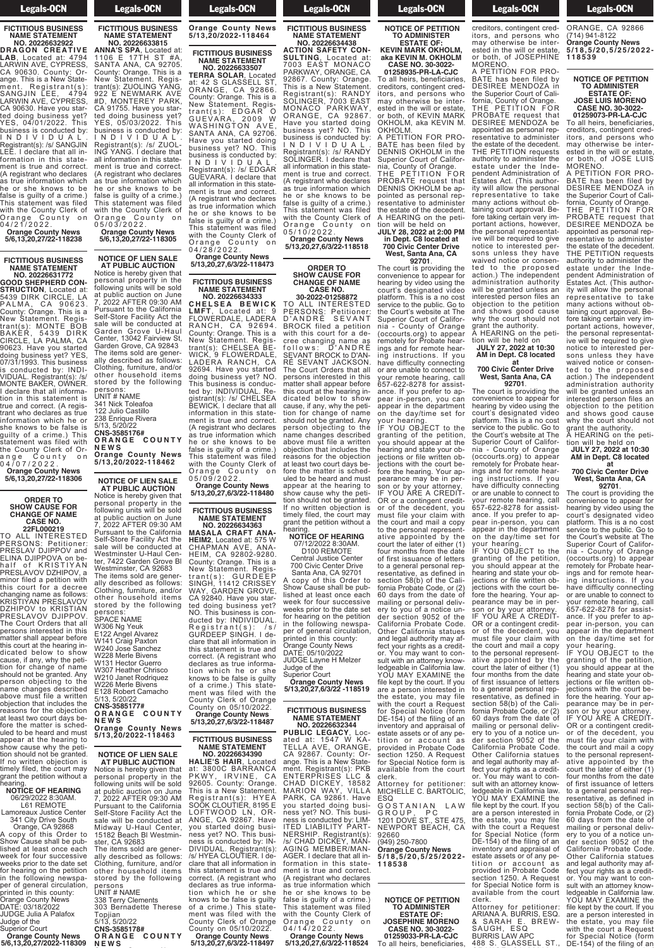# Legals-OCN

### **FICTITIOUS BUSINESS NAME STATEMENT NO. 20226632922**

**DRAGON CREATIVE LAB**, Located at: 4794 LARWIN AVE, CYPRESS, CA 90630. County: Orange. This is a New Statement. Registrant(s): SANGJIN LEE, 4794 LARWIN AVE, CYPRESS, CA 90630. Have you started doing business yet? YES, 04/01/2022. This business is conducted by: I N D I V I D U A L . Registrant(s): /s/ SANGJIN LEE. I declare that all information in this statement is true and correct. (A registrant who declares as true information which he or she knows to be false is guilty of a crime.) This statement was filed with the County Clerk of Orange County on 0 4 / 2 1 / 2 0 2 2 .

**Orange County News 5/6,13,20,27/22-118238**

### **FICTITIOUS BUSINESS NAME STATEMENT NO. 20226631772**

**GOOD SHEPHERD CON-STRUCTION**, Located at: 5439 DIRK CIRCLE, LA P A L M A , C A 90623. County: Orange. This is a New Statement. Registrant(s): MONTE BOB BAKER, 5439 DIRK CIRCLE, LA PALMA, CA 90623. Have you started doing business yet? YES, 07/31/1993. This business is conducted by: INDI-VIDUAL. Registrant(s): /s/ MONTE BAKER, OWNER. I declare that all information in this statement is true and correct. (A registrant who declares as true information which he or she knows to be false is guilty of a crime.) This statement was filed with the County Clerk of Orange County on

0 4 / 0 7 / 2 0 2 2 . **Orange County News 5/6,13,20,27/22-118306**

# **ORDER TO SHOW CAUSE FOR CHANGE OF NAME CASE NO.**

**22FL000219** TO ALL INTERESTED PERSONS: Petitioner: PRESLAV DJIPPOV and .<br>FI INA DJIPPOVA on behalf of KRISTIYAN PRESLAVOV DZHIPOV, a minor filed a petition with court for a decree changing name as follows: KRISTIYAN PRESLAVOV DZHIPOV to KRISTIAN PRESLAVOV DJIPPOV. The Court Orders that all persons interested in this matter shall appear before this court at the hearing indicated below to show cause, if any, why the petition for change of name should not be granted. Any person objecting to the name changes described above must file a written objection that includes the reasons for the objection at least two court days before the matter is scheduled to be heard and must appear at the hearing to show cause why the petition should not be granted. If no written objection is timely filed, the court may grant the petition without a

# hearing. **NOTICE OF HEARING** 06/29/2022 8:30AM.

L61 REMOTE Lamoreaux Justice Center 341 City Drive South

Orange, CA 92868 A copy of this Order to Show Cause shall be published at least once each week for four successive weeks prior to the date set for hearing on the petition in the following newspaper of general circulation, printed in this county: Orange County News DATE: 03/18/2022 JUDGE Julia A Palafox

Judge of the Superior Court **Orange County News 5/6,13,20,27/2022-118309** Legals-OCN

### **FICTITIOUS BUSINESS NAME STATEMENT NO. 20226633815**

**ANNA'S SPA**, Located at: 1106 E 17TH ST #A, SANTA ANA, CA 92705. County: Orange. This is a New Statement. Registrant(s): ZUOLING YANG, 922 E NEWMARK AVE #D, MONTEREY PARK, CA 91755. Have you started doing business yet? YES, 05/03/2022. This business is conducted by: I N D I V I D U A L . Registrant(s): /s/ ZUOL-ING YANG. I declare that all information in this statement is true and correct. (A registrant who declares as true information which<br>he or she knows to be or she knows to be false is guilty of a crime.) This statement was filed with the County Clerk of Orange County on

0 5 / 0 3 / 2 0 2 2 . **Orange County News 5/6,13,20,27/22-118305**

**NOTICE OF LIEN SALE AT PUBLIC AUCTION**

Notice is hereby given that personal property in the following units will be sold at public auction on June 7, 2022 AFTER 09:30 AM Pursuant to the California Self-Store Facility Act the sale will be conducted at Garden Grove U-Haul Center, 13042 Fairview St, Garden Grove, CA 92843 The items sold are generally described as follows: Clothing, furniture, and/or other household items stored by the following persons: UNIT # NAME 341 Nick Toleafoa 122 Julio Castillo 238 Enrique Rivera 5/13, 5/20/22 **CNS-3585176# O R A N G E C O U N T Y N E W S Orange County News**

**5/13,20/2022-118462 NOTICE OF LIEN SALE AT PUBLIC AUCTION**

Notice is hereby given that personal property in the following units will be sold at public auction on June 7, 2022 AFTER 09:30 AM Pursuant to the California Self-Store Facility Act the sale will be conducted at Westminster U-Haul Center, 7422 Garden Grove Bl Westminster, CA 92683 The items sold are generally described as follows: Clothing, furniture, and/or other household items stored by the following

| persons:                  |
|---------------------------|
| <b>SPACE NAME</b>         |
| W306 Ng Yeuk              |
| E122 Angel Alvarez        |
| W141 Craig Paxton         |
| W240 Jose Sanchez         |
| W228 Merle Bivens         |
| W131 Hector Guerro        |
| W307 Heather Chrisco      |
| W210 Janet Rodriguez      |
| W226 Merle Bivens         |
| E128 Robert Camacho       |
| 5/13, 5/20/22             |
| CNS-3585177#              |
| ORANGE COUNTY             |
| NEWS                      |
| <b>Orange County News</b> |
| 5/13,20/2022-118463       |
|                           |

**NOTICE OF LIEN SALE AT PUBLIC AUCTION** Notice is hereby given that personal property in the following units will be sold at public auction on June 7, 2022 AFTER 09:30 AM Pursuant to the California Self-Store Facility Act the sale will be conducted at Midway U-Haul Center, 15182 Beach Bl Westmin-ster, CA 92683

The items sold are generally described as follows: Clothing, furniture, and/or other household items stored by the following persons<br>UNIT # NAMF 338 Terry Clements

303 Bernadette Therese Topjian<br>5/13 5/20/22 5/13, 5/20/22 **CNS-3585178#**

**O R A N G E C O U N T Y N E W S**

### $\blacksquare$ **N E W S Orange County News 5/13,20/2022-118464**

**Legals-OCN** 

# **FICTITIOUS BUSINESS**

**NAME STATEMENT NO. 20226633507 TERRA SOLAR**, Located at: 42 S GLASSELL ST, ORANGE, CA 92866. County: Orange. This is a New Statement. Registrant(s): EDGAR O GUEVARA, 2009 W WASHINGTON AVE, SANTA ANA, CA 92706. Have you started doing business yet? NO. This business is conducted by: I N D I V I D U A L . Registrant(s): /s/ EDGAR GUEVARA. I declare that all information in this statement is true and correct. (A registrant who declares as true information which he or she knows to be false is guilty of a crime.) This statement was filed with the County Clerk of<br>Orange County on Orange County on 0 4 / 2 8 / 2 0 2 2 .

**Orange County News 5/13,20,27,6/3/22-118473 FICTITIOUS BUSINESS**

# **NAME STATEMENT NO. 20226634333**

**C H E L S E A B E W I C K LMFT**, Located at: 9 FLOWERDALE, LADERA RANCH, CA 92694. County: Orange. This is a New Statement. Registrant(s): CHELSEA BE-WICK, 9 FLOWERDALE, LADERA RANCH, CA 92694. Have you started doing business yet? NO. This business is conducted by: INDIVIDUAL. Registrant(s): /s/ CHELSEA BEWICK. I declare that all information in this statement is true and correct. (A registrant who declares as true information which he or she knows to be false is guilty of a crime.) This statement was filed with the County Clerk of Orange County on 0 5 / 0 9 / 2 0 2 2 . **Orange County News 5/13,20,27,6/3/22-118480**

**FICTITIOUS BUSINESS**

**NAME STATEMENT NO. 20226634363 MASALA CRAFT ANA-**

**HEIM2**, Located at: 575 W CHAPMAN AVE, ANA-HEIM, CA 92802-9280. County: Orange. This is a New Statement. Registrant(s): GURDEEP SINGH, 11412 CRISSEY WAY, GARDEN GROVE, CA 92840. Have you started doing business yet? NO. This business is conducted by: INDIVIDUAL. Registrant(s): /s/ GURDEEP SINGH. I declare that all information in this statement is true and correct. (A registrant who declares as true information which he or she knows to be false is guilty of a crime.) This statement was filed with the County Clerk of Orange County on 05/10/2022. **Orange County News**

# **5/13,20,27,6/3/22-118487 FICTITIOUS BUSINESS**

**NAME STATEMENT NO. 20226634390**

**HALIE'S HAIR**, Located at: 3800C BARRANCA PKWY, IRVINE, CA 92605. County: Orange. This is a New Statement. Registrant(s): HYEA SOOK CLOUTIER, 8195 E LOFTWOOD LN, OR-ANGE, CA 92867. Have you started doing business yet? NO. This busi-ness is conducted by: IN-DIVIDUAL. Registrant(s): /s/ HYEA CLOUTIER. I declare that all information in this statement is true and correct. (A registrant who declares as true informa-<br>tion which he or she knows to be false is guilty of a crime.) This statement was filed with the County Clerk of Orange

County on 05/10/2022. **Orange County News 5/13,20,27,6/3/22-118497**

# Legals-OCN

**FICTITIOUS BUSINESS NAME STATEMENT NO. 20226634438**

**ACTION SAFETY CON-SULTING**, Located at: 7003 EAST MONACO PARKWAY, ORANGE, CA 92867. County: Orange. This is a New Statement. Registrant(s): RANDY SOLINGER, 7003 EAST MONACO PARKWAY, ORANGE, CA 92867. Have you started doing business yet? NO. This business is conducted by: I N D I V I D U A L . Registrant(s): /s/ RANDY SOLINGER. I declare that all information in this statement is true and correct. (A registrant who declares às true information which<br>he or she knows to be she knows to be false is guilty of a crime.) This statement was filed with the County Clerk of Orange County on 0 5 / 1 0 / 2 0 2 2 .

**Orange County News 5/13,20,27,6/3/22-118518**

### **ORDER TO SHOW CAUSE FOR CHANGE OF NAME CASE NO. 30-2022-01258872**

TO ALL INTERESTED PERSONS: Petitioner: D'ANDRÉ SEVANT BROCK filed a petition with this court for a decree changing name as follows: D'ANDRE SEVANT BROCK to D'AN-RÉ SEVANT JACKSON. The Court Orders that all persons interested in this matter shall appear before this court at the hearing indicated below to show cause, if any, why the petition for change of name should not be granted. Any person objecting to the name changes described above must file a written objection that includes the reasons for the objection at least two court days before the matter is scheduled to be heard and must appear at the hearing to show cause why the petition should not be granted. If no written objection is timely filed, the court may grant the petition without a hearing.

### **NOTICE OF HEARING** 07/12/2022 8:30AM.

D100 REMOTE Central Justice Center 700 Civic Center Drive Santa Ana, CA 92701

A copy of this Order to Show Cause shall be published at least once each week for four successive weeks prior to the date set for hearing on the petition in the following newspaper of general circulation, printed in this county: Orange County News DATE: 05/10/2022 JUDGE Layne H Melzer Judge of the Superior Court **Orange County News**

**5/13,20,27,6/3/22 -118519**

### **FICTITIOUS BUSINESS NAME STATEMENT NO. 20226632344**

**PUBLIC LEGACY**, Located at: 1547 W KA-TELLA AVE, ORANGE, CA 92867. County: Orange. This is a New Statement. Registrant(s): PKB ENTERPRISES LLC & CHAD DICKEY, 18582 MARION WAY, VILLA PARK, CA 92861. Have you started doing business yet? NO. This business is conducted by: LIM-ITED LIABILITY PART-<br>NERSHIP. Registrant(s): /s/ CHAD DICKEY, MAN-AGING MEMBER/MAN-AGER. I declare that all information in this statement is true and correct. (A registrant who declares as true information which he or she knows to be false is guilty of a crime.) This statement was filed with the County Clerk of Orange County on 0 4 / 1 4 / 2 0 2 2 .

**Orange County News 5/13,20,27,6/3/22-118524**

# Legals-OCN

### **NOTICE OF PETITION TO ADMINISTER ESTATE OF:**

**KEVIN MARK OKHOLM, aka KEVIN M. OKHOLM CASE NO. 30-3022- 01258935-PR-LA-CJC**

To all heirs, beneficiaries, creditors, contingent creditors, and persons who may otherwise be interested in the will or estate, or both, of KEVIN MARK OKHOLM, aka KEVIN M. OKHOLM.

A PETITION FOR PRO-BATE has been filed by DENNIS OKHOLM in the Superior Court of California, County of Orange. THE PETITION FOR PROBATE request that DENNIS OKHOLM be appointed as personal representative to administer the estate of the decedent. A HEARING on the peti-

tion will be held on **JULY 28, 2022 at 2:00 PM in Dept. C8 located at 700 Civic Center Drive West, Santa Ana, CA 92701**.

The court is providing the convenience to appear for hearing by video using the court's designated video platform. This is a no cost service to the public. Go to the Court's website at The Superior Court of California - County of Orange (occourts.org) to appear remotely for Probate hearings and for remote hearing instructions. If you have difficulty connecting or are unable to connect to your remote hearing, call 657-622-8278 for assistance. If you prefer to appear in-person, you can appear in the department on the day/time set for your hearing.

IF YOU OBJECT to the granting of the petition, you should appear at the hearing and state your objections or file written objections with the court before the hearing. Your appearance may be in per-<br>son or by your attorney. IF YOU ARE A CREDIT-OR or a contingent creditor of the decedent, you must file your claim with the court and mail a copy to the personal representative appointed by the court the later of either (1) four months from the date of first issuance of letters to a general personal representative, as defined in section 58(b) of the California Probate Code, or (2) 60 days from the date of mailing or personal delivery to you of a notice under section 9052 of the California Probate Code. Other California statues and legal authority may affect your rights as a creditor. You may want to consult with an attorney knowledgeable in California law. YOU MAY EXAMINE the file kept by the court. If you are a person interested in the estate, you may file with the court a Request for Special Notice (form DE-154) of the filing of an inventory and appraisal of estate assets or of any petition or ac count a s provided in Probate Code section 1250. A Request for Special Notice form is available from the court clerk. Attorney for petitioner: MICHELLE C. BARTOLIC,

**ESQ** GOSTANIAN LAW G R O U P , P C 1201 DOVE ST., STE 475, NEWPORT BEACH, CA

92660 (949) 250-7800

**Orange County News 5 / 1 8 , 5 / 2 0 , 5 / 2 5 / 2 0 2 2 - 1 1 8 5 3 8**

# **NOTICE OF PETITION TO ADMINISTER ESTATE OF:**

**JOSEPHINE MORENO CASE NO. 30-3022- 01259033-PR-LA-CJC** To all heirs, beneficiaries,

clerk.

your hearing.

IF YOU OBJECT to the granting of the petition, you should appear at the hearing and state your objections or file written objections with the court before the hearing. Your appearance may be in person or by your attorney. IF YOU ARE A CREDIT-OR or a contingent creditor of the decedent, you must file your claim with the court and mail a copy to the personal representative appointed by the court the later of either (1) four months from the date of first issuance of letters to a general personal representative, as defined in section 58(b) of the California Probate Code, or (2) 60 days from the date of mailing or personal delivery to you of a notice under section 9052 of the California Probate Code. Other California statues and legal authority may affect your rights as a creditor. You may want to consult with an attorney knowledgeable in California law. YOU MAY EXAMINE the file kept by the court. If you are a person interested in the estate, you may file with the court a Request for Special Notice (form DE-154) of the filing of an inventory and appraisal of estate assets or of any petition or ac count a s provided in Probate Code section 1250. A Request for Special Notice form is available from the court

### **Legals-OCN DECEMBER 1989**

BATE has been filed by DESIREE MENDOZA in the Superior Court of California, County of Orange. THE PETITION FOR PROBATE request that DESIREE MENDOZA be appointed as personal representative to administer the estate of the decedent. THE PETITION requests authority to administer the estate under the Independent Administration of Estates Act. (This authority will allow the personal representative to take many actions without obtaining court approval. Before taking certain very important actions, however, the personal representative will be required to give notice to interested persons unless they have waived notice or consented to the proposed action.) The independent administration authority will be granted unless an interested person files an objection to the petition and shows good cause why the court should not grant the authority. A HEARING on the petition will be held on **JULY 27, 2022 at 10:30 AM in Dept. C8 located at 700 Civic Center Drive West, Santa Ana, CA 92701**. The court is providing the convenience to appear for hearing by video using the court's designated video platform. This is a no cost service to the public. Go to the Court's website at The Superior Court of California - County of Orange (occourts.org) to appear remotely for Probate hearings and for remote hearing instructions. If you have difficulty connecting or are unable to connect to your remote hearing, call 657-622-8278 for assistance. If you prefer to appear in-person, you can appear in the department on the day/time set for

MORENO.

488 S. Glassen St., S. Glassen St., S. Glassen St., S. Glassen St., S. Glassen St., S. Glassen ORANGE, CA 92866 (714) 941-8122 **Orange County News 5 / 1 8 , 5 / 2 0 , 5 / 2 5 / 2 0 2 2 - 1 1 8 5 3 9** To all heirs, beneficiaries, creditors, contingent creditors, and persons who may otherwise be interested in the will or estate, or both, of JOSEPHINE A PETITION FOR PRO-

### **NOTICE OF PETITION TO ADMINISTER ESTATE OF: JOSE LUIS MORENO CASE NO. 30-3022-**

**01259073-PR-LA-CJC** To all heirs, beneficiaries, creditors, contingent creditors, and persons who may otherwise be interested in the will or estate, or both, of JOSE LUIS MORENO.

A PETITION FOR PRO-BATE has been filed by DESIREE MENDOZA in the Superior Court of California, County of Orange. THE PETITION FOR PROBATE request that DESIREE MENDOZA be appointed as personal representative to administer the estate of the decedent. THE PETITION requests authority to administer the estate under the Independent Administration of Estates Act. (This authority will allow the personal representative to take many actions without obtaining court approval. Before taking certain very important actions, however, the personal representative will be required to give notice to interested persons unless they have waived notice or consented to the proposed action.) The independent administration authority will be granted unless an interested person files an objection to the petition and shows good cause why the court should not grant the authority.<br>A HEADING

A HEARING on the petition will be held on **JULY 27, 2022 at 10:30**

### **AM in Dept. C8 located at 700 Civic Center Drive**

**West, Santa Ana, CA 92701**.

The court is providing the convenience to appear for hearing by video using the court's designated video platform. This is a no cost service to the public. Go to the Court's website at The Superior Court of California - County of Orange (occourts.org) to appear remotely for Probate hearings and for remote hearing instructions. If you have difficulty connecting or are unable to connect to your remote hearing, call 657-622-8278 for assistance. If you prefer to appear in-person, you can appear in the department on the day/time set for

your hearing. IF YOU OBJECT to the granting of the petition, you should appear at the hearing and state your objections or file written objections with the court before the hearing. Your appearance may be in person or by your attorney. IF YOU ARE A CREDIT-OR or a contingent creditor of the decedent, you must file your claim with the court and mail a copy to the personal representative appointed by the court the later of either (1) four months from the date of first issuance of letters to a general personal representative, as defined in section 58(b) of the California Probate Code, or (2) 60 days from the date of mailing or personal deliv-<br>ery to you of a notice under section 9052 of the California Probate Code. Other California statues and legal authority may affect your rights as a creditor. You may want to consult with an attorney know-<br>ledgeable in California law. YOU MAY EXAMINE the file kept by the court. If you are a person interested in the estate, you may file with the court a Request for Special Notice (form DE-154) of the filing of an

& SARAH E. BREW-SAUGH, ESQ BURRIS LAW APC 488 S. GLASSELL ST

Attorney for petitioner: ARIANA A. BURRIS, ESQ. **Legals-OCN**  $\frac{1}{2}$